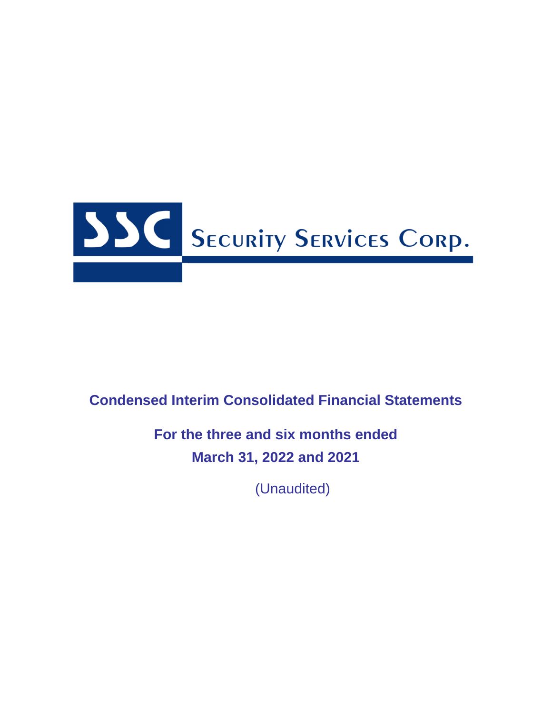

# **Condensed Interim Consolidated Financial Statements**

# **For the three and six months ended March 31, 2022 and 2021**

(Unaudited)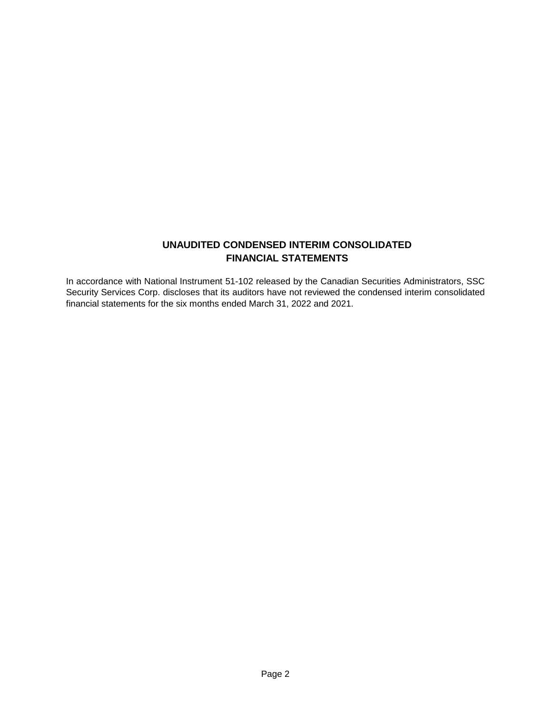# **UNAUDITED CONDENSED INTERIM CONSOLIDATED FINANCIAL STATEMENTS**

In accordance with National Instrument 51-102 released by the Canadian Securities Administrators, SSC Security Services Corp. discloses that its auditors have not reviewed the condensed interim consolidated financial statements for the six months ended March 31, 2022 and 2021.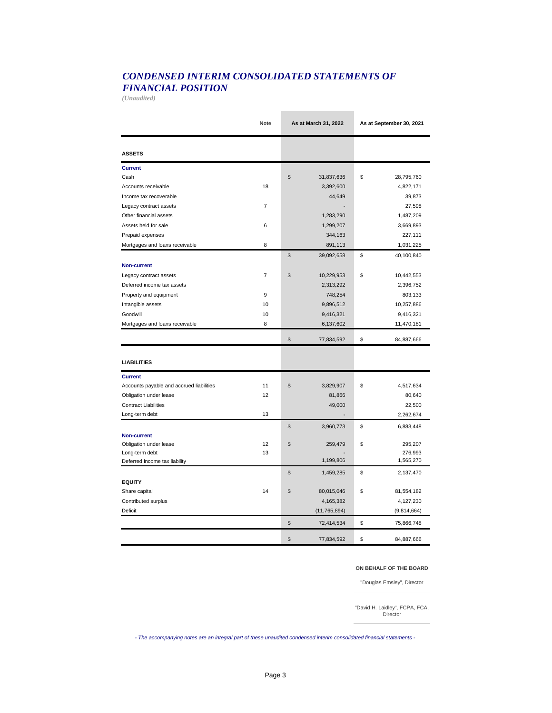# *CONDENSED INTERIM CONSOLIDATED STATEMENTS OF FINANCIAL POSITION*

*(Unaudited)*

|                                                 | Note           | As at March 31, 2022 | As at September 30, 2021 |
|-------------------------------------------------|----------------|----------------------|--------------------------|
| <b>ASSETS</b>                                   |                |                      |                          |
| <b>Current</b>                                  |                |                      |                          |
| Cash                                            |                | \$<br>31,837,636     | \$<br>28,795,760         |
| Accounts receivable                             | 18             | 3,392,600            | 4,822,171                |
| Income tax recoverable                          |                | 44,649               | 39,873                   |
| Legacy contract assets                          | $\overline{7}$ |                      | 27,598                   |
| Other financial assets                          |                | 1,283,290            | 1,487,209                |
| Assets held for sale                            | 6              | 1,299,207            | 3,669,893                |
| Prepaid expenses                                |                | 344,163              | 227,111                  |
| Mortgages and loans receivable                  | 8              | 891,113              | 1,031,225                |
|                                                 |                | \$<br>39,092,658     | \$<br>40,100,840         |
| <b>Non-current</b>                              |                |                      |                          |
| Legacy contract assets                          | $\overline{7}$ | \$<br>10,229,953     | \$<br>10,442,553         |
| Deferred income tax assets                      |                | 2,313,292            | 2,396,752                |
| Property and equipment                          | 9              | 748,254              | 803,133                  |
| Intangible assets                               | 10             | 9,896,512            | 10,257,886               |
| Goodwill                                        | 10             | 9,416,321            | 9,416,321                |
| Mortgages and loans receivable                  | 8              | 6,137,602            | 11,470,181               |
|                                                 |                | \$                   | \$                       |
|                                                 |                | 77,834,592           | 84,887,666               |
| <b>LIABILITIES</b>                              |                |                      |                          |
| <b>Current</b>                                  |                |                      |                          |
| Accounts payable and accrued liabilities        | 11             | \$<br>3,829,907      | \$<br>4,517,634          |
| Obligation under lease                          | 12             | 81,866               | 80,640                   |
| <b>Contract Liabilities</b>                     |                | 49,000               | 22,500                   |
| Long-term debt                                  | 13             |                      | 2,262,674                |
|                                                 |                | \$<br>3,960,773      | \$<br>6,883,448          |
| <b>Non-current</b>                              |                |                      |                          |
| Obligation under lease                          | 12             | \$<br>259,479        | \$<br>295,207            |
| Long-term debt<br>Deferred income tax liability | 13             | 1,199,806            | 276,993<br>1,565,270     |
|                                                 |                |                      |                          |
|                                                 |                | \$<br>1,459,285      | \$<br>2,137,470          |
| <b>EQUITY</b>                                   |                |                      |                          |
| Share capital                                   | 14             | \$<br>80,015,046     | \$<br>81,554,182         |
| Contributed surplus                             |                | 4,165,382            | 4,127,230                |
| Deficit                                         |                | (11, 765, 894)       | (9,814,664)              |
|                                                 |                | \$<br>72,414,534     | \$<br>75,866,748         |
|                                                 |                | \$<br>77,834,592     | \$<br>84,887,666         |

#### **ON BEHALF OF THE BOARD**

"Douglas Emsley", Director

"David H. Laidley", FCPA, FCA, **Director** 

*- The accompanying notes are an integral part of these unaudited condensed interim consolidated financial statements -*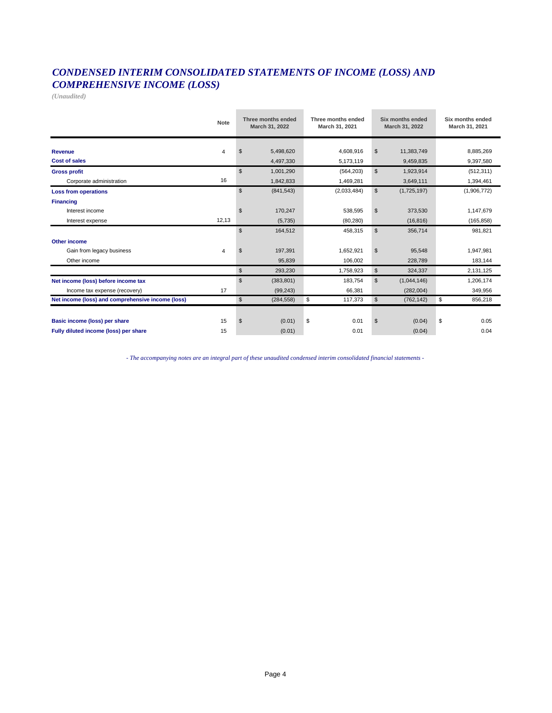# *CONDENSED INTERIM CONSOLIDATED STATEMENTS OF INCOME (LOSS) AND COMPREHENSIVE INCOME (LOSS)*

*(Unaudited)*

|                                                   | Note  |                           | Three months ended<br>March 31, 2022 | Three months ended<br>March 31, 2021 |                | Six months ended<br>March 31, 2022 | Six months ended<br>March 31, 2021 |
|---------------------------------------------------|-------|---------------------------|--------------------------------------|--------------------------------------|----------------|------------------------------------|------------------------------------|
| Revenue                                           | 4     | \$                        | 5,498,620                            | 4,608,916                            | $\mathfrak{S}$ | 11,383,749                         | 8,885,269                          |
| <b>Cost of sales</b>                              |       |                           | 4,497,330                            | 5,173,119                            |                | 9,459,835                          | 9,397,580                          |
| <b>Gross profit</b>                               |       | $\mathfrak{S}$            | 1,001,290                            | (564, 203)                           | $\mathbb{S}$   | 1,923,914                          | (512, 311)                         |
| Corporate administration                          | 16    |                           | 1,842,833                            | 1,469,281                            |                | 3,649,111                          | 1,394,461                          |
| <b>Loss from operations</b>                       |       | $\boldsymbol{\mathsf{s}}$ | (841, 543)                           | (2,033,484)                          | \$             | (1,725,197)                        | (1,906,772)                        |
| <b>Financing</b>                                  |       |                           |                                      |                                      |                |                                    |                                    |
| Interest income                                   |       | $\mathfrak{L}$            | 170,247                              | 538,595                              | \$             | 373,530                            | 1,147,679                          |
| Interest expense                                  | 12,13 |                           | (5,735)                              | (80, 280)                            |                | (16, 816)                          | (165, 858)                         |
|                                                   |       | $\mathfrak{s}$            | 164,512                              | 458,315                              | $\mathbb{S}$   | 356,714                            | 981,821                            |
| Other income                                      |       |                           |                                      |                                      |                |                                    |                                    |
| Gain from legacy business                         | 4     | $\mathfrak{s}$            | 197,391                              | 1.652.921                            | $\mathbb{S}$   | 95,548                             | 1.947.981                          |
| Other income                                      |       |                           | 95,839                               | 106,002                              |                | 228,789                            | 183,144                            |
|                                                   |       | \$                        | 293,230                              | 1,758,923                            | \$             | 324,337                            | 2,131,125                          |
| Net income (loss) before income tax               |       | $\mathfrak{S}$            | (383, 801)                           | 183.754                              | $\mathfrak{S}$ | (1,044,146)                        | 1,206,174                          |
| Income tax expense (recovery)                     | 17    |                           | (99, 243)                            | 66,381                               |                | (282,004)                          | 349,956                            |
| Net income (loss) and comprehensive income (loss) |       | $\boldsymbol{\mathsf{s}}$ | (284, 558)                           | \$<br>117,373                        | $\mathfrak{S}$ | (762, 142)                         | \$<br>856,218                      |
|                                                   |       |                           |                                      |                                      |                |                                    |                                    |
| Basic income (loss) per share                     | 15    | $\boldsymbol{\mathsf{s}}$ | (0.01)                               | \$<br>0.01                           | $\mathfrak s$  | (0.04)                             | \$<br>0.05                         |
| Fully diluted income (loss) per share             | 15    |                           | (0.01)                               | 0.01                                 |                | (0.04)                             | 0.04                               |

*- The accompanying notes are an integral part of these unaudited condensed interim consolidated financial statements -*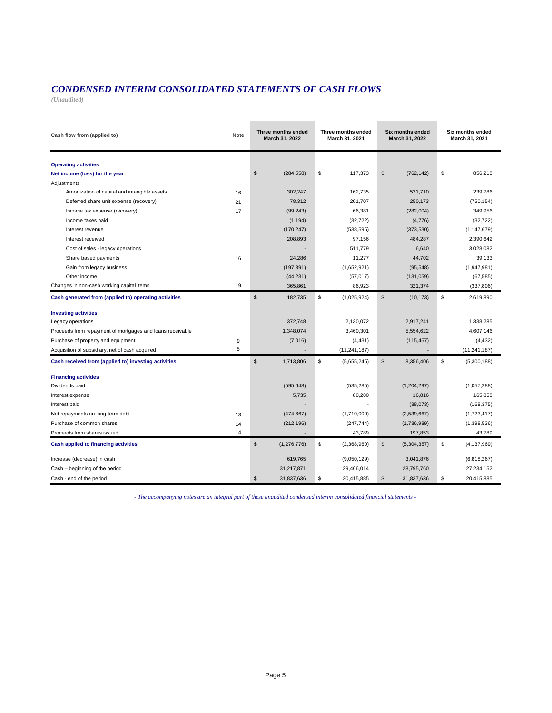# *CONDENSED INTERIM CONSOLIDATED STATEMENTS OF CASH FLOWS*

*(Unaudited)*

| Cash flow from (applied to)                               | <b>Note</b> | Three months ended<br>March 31, 2022 | Three months ended<br>March 31, 2021 | <b>Six months ended</b><br>March 31, 2022 | Six months ended<br>March 31, 2021 |
|-----------------------------------------------------------|-------------|--------------------------------------|--------------------------------------|-------------------------------------------|------------------------------------|
| <b>Operating activities</b>                               |             |                                      |                                      |                                           |                                    |
| Net income (loss) for the year                            |             | \$<br>(284, 558)                     | \$<br>117,373                        | \$<br>(762, 142)                          | \$<br>856,218                      |
| Adjustments                                               |             |                                      |                                      |                                           |                                    |
| Amortization of capital and intangible assets             | 16          | 302,247                              | 162,735                              | 531,710                                   | 239,786                            |
| Deferred share unit expense (recovery)                    | 21          | 78,312                               | 201,707                              | 250,173                                   | (750, 154)                         |
| Income tax expense (recovery)                             | 17          | (99, 243)                            | 66,381                               | (282,004)                                 | 349,956                            |
| Income taxes paid                                         |             | (1, 194)                             | (32, 722)                            | (4,776)                                   | (32, 722)                          |
| Interest revenue                                          |             | (170, 247)                           | (538, 595)                           | (373,530)                                 | (1, 147, 679)                      |
| Interest received                                         |             | 208,893                              | 97,156                               | 484,287                                   | 2,390,642                          |
| Cost of sales - legacy operations                         |             |                                      | 511,779                              | 6,640                                     | 3,028,082                          |
| Share based payments                                      | 16          | 24,286                               | 11,277                               | 44,702                                    | 39,133                             |
| Gain from legacy business                                 |             | (197, 391)                           | (1,652,921)                          | (95, 548)                                 | (1,947,981)                        |
| Other income                                              |             | (44, 231)                            | (57, 017)                            | (131, 059)                                | (67, 585)                          |
| Changes in non-cash working capital items                 | 19          | 365,861                              | 86,923                               | 321,374                                   | (337, 806)                         |
| Cash generated from (applied to) operating activities     |             | \$<br>182,735                        | \$<br>(1,025,924)                    | $\mathbb{S}$<br>(10, 173)                 | \$<br>2,619,890                    |
| <b>Investing activities</b>                               |             |                                      |                                      |                                           |                                    |
| Legacy operations                                         |             | 372,748                              | 2,130,072                            | 2,917,241                                 | 1,338,285                          |
| Proceeds from repayment of mortgages and loans receivable |             | 1,348,074                            | 3,460,301                            | 5,554,622                                 | 4,607,146                          |
| Purchase of property and equipment                        | 9           | (7,016)                              | (4, 431)                             | (115, 457)                                | (4, 432)                           |
| Acquisition of subsidiary, net of cash acquired           | $\,$ 5 $\,$ |                                      | (11, 241, 187)                       |                                           | (11, 241, 187)                     |
| Cash received from (applied to) investing activities      |             | $\mathbb{S}$<br>1,713,806            | \$<br>(5,655,245)                    | \$<br>8,356,406                           | \$<br>(5,300,188)                  |
| <b>Financing activities</b>                               |             |                                      |                                      |                                           |                                    |
| Dividends paid                                            |             | (595, 648)                           | (535, 285)                           | (1,204,297)                               | (1,057,288)                        |
| Interest expense                                          |             | 5,735                                | 80,280                               | 16,816                                    | 165,858                            |
| Interest paid                                             |             |                                      |                                      | (38,073)                                  | (168, 375)                         |
| Net repayments on long-term debt                          | 13          | (474, 667)                           | (1,710,000)                          | (2,539,667)                               | (1,723,417)                        |
| Purchase of common shares                                 | 14          | (212, 196)                           | (247, 744)                           | (1,736,989)                               | (1,398,536)                        |
| Proceeds from shares issued                               | 14          |                                      | 43,789                               | 197,853                                   | 43,789                             |
| <b>Cash applied to financing activities</b>               |             | \$<br>(1,276,776)                    | \$<br>(2,368,960)                    | \$<br>(5,304,357)                         | \$<br>(4, 137, 969)                |
| Increase (decrease) in cash                               |             | 619,765                              | (9,050,129)                          | 3,041,876                                 | (6,818,267)                        |
| Cash - beginning of the period                            |             | 31,217,871                           | 29,466,014                           | 28,795,760                                | 27,234,152                         |
| Cash - end of the period                                  |             | $\mathbb{S}$<br>31,837,636           | \$<br>20,415,885                     | $\mathbb{S}$<br>31,837,636                | \$<br>20,415,885                   |

*- The accompanying notes are an integral part of these unaudited condensed interim consolidated financial statements -*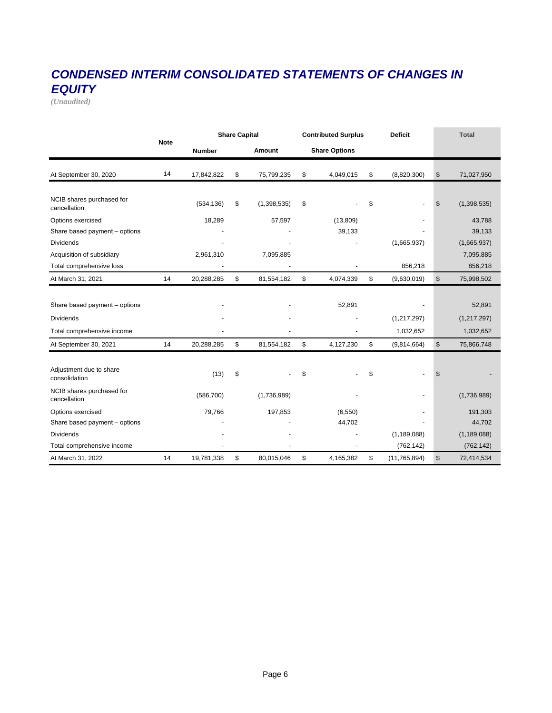# *CONDENSED INTERIM CONSOLIDATED STATEMENTS OF CHANGES IN EQUITY*

*(Unaudited)*

|                                           |             |                         | <b>Share Capital</b> |             |         | <b>Contributed Surplus</b> |    | <b>Deficit</b> |                | <b>Total</b>  |
|-------------------------------------------|-------------|-------------------------|----------------------|-------------|---------|----------------------------|----|----------------|----------------|---------------|
|                                           | <b>Note</b> | <b>Number</b><br>Amount |                      |             |         | <b>Share Options</b>       |    |                |                |               |
| At September 30, 2020                     | 14          | 17,842,822              | \$                   | 75,799,235  | \$      | 4,049,015                  | \$ | (8,820,300)    | \$             | 71,027,950    |
|                                           |             |                         |                      |             |         |                            |    |                |                |               |
| NCIB shares purchased for<br>cancellation |             | (534, 136)              | \$                   | (1,398,535) | \$      |                            | \$ |                | \$             | (1,398,535)   |
| Options exercised                         |             | 18,289                  |                      | 57,597      |         | (13,809)                   |    |                |                | 43,788        |
| Share based payment - options             |             |                         |                      |             |         | 39,133                     |    |                |                | 39,133        |
| <b>Dividends</b>                          |             |                         |                      |             |         |                            |    | (1,665,937)    |                | (1,665,937)   |
| Acquisition of subsidiary                 |             | 2,961,310               |                      | 7,095,885   |         |                            |    |                |                | 7,095,885     |
| Total comprehensive loss                  |             |                         |                      |             | 856,218 |                            |    | 856,218        |                |               |
| At March 31, 2021                         | 14          | 20,288,285              | \$                   | 81,554,182  | \$      | 4,074,339                  | \$ | (9,630,019)    | $\mathfrak{S}$ | 75,998,502    |
|                                           |             |                         |                      |             |         |                            |    |                |                |               |
| Share based payment - options             |             |                         |                      |             |         | 52,891                     |    |                |                | 52,891        |
| <b>Dividends</b>                          |             |                         |                      |             |         |                            |    | (1,217,297)    |                | (1, 217, 297) |
| Total comprehensive income                |             |                         |                      |             |         |                            |    | 1,032,652      |                | 1,032,652     |
| At September 30, 2021                     | 14          | 20,288,285              | \$                   | 81,554,182  | \$      | 4,127,230                  | \$ | (9,814,664)    | \$             | 75,866,748    |
|                                           |             |                         |                      |             |         |                            |    |                |                |               |
| Adjustment due to share<br>consolidation  |             | (13)                    | \$                   |             | \$      |                            | \$ |                | \$             |               |
| NCIB shares purchased for<br>cancellation |             | (586, 700)              |                      | (1,736,989) |         |                            |    |                |                | (1,736,989)   |
| Options exercised                         |             | 79,766                  |                      | 197,853     |         | (6, 550)                   |    |                |                | 191,303       |
| Share based payment - options             |             |                         |                      |             |         | 44,702                     |    |                |                | 44,702        |
| <b>Dividends</b>                          |             |                         |                      |             |         |                            |    | (1, 189, 088)  |                | (1, 189, 088) |
| Total comprehensive income                |             |                         |                      |             |         |                            |    | (762, 142)     |                | (762, 142)    |
| At March 31, 2022                         | 14          | 19,781,338              | \$                   | 80,015,046  | \$      | 4,165,382                  | \$ | (11, 765, 894) | $\mathsf{\$}$  | 72,414,534    |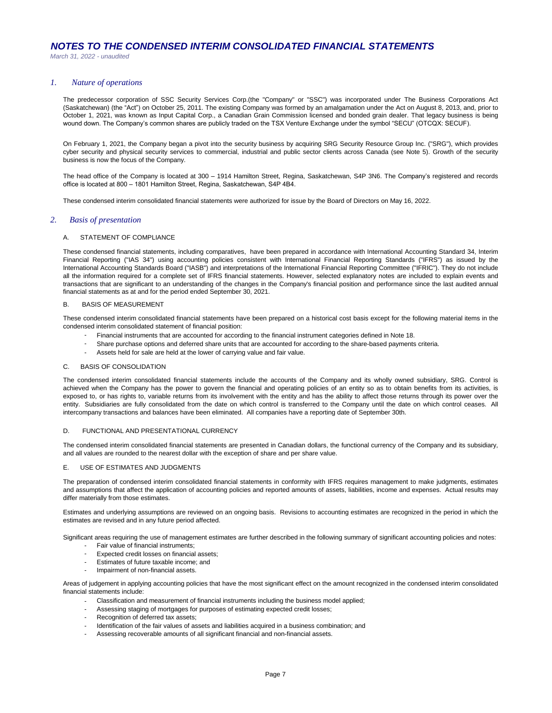## *1. Nature of operations*

The predecessor corporation of SSC Security Services Corp.(the "Company" or "SSC") was incorporated under The Business Corporations Act (Saskatchewan) (the "Act") on October 25, 2011. The existing Company was formed by an amalgamation under the Act on August 8, 2013, and, prior to October 1, 2021, was known as Input Capital Corp., a Canadian Grain Commission licensed and bonded grain dealer. That legacy business is being wound down. The Company's common shares are publicly traded on the TSX Venture Exchange under the symbol "SECU" (OTCQX: SECUF).

On February 1, 2021, the Company began a pivot into the security business by acquiring SRG Security Resource Group Inc. ("SRG"), which provides cyber security and physical security services to commercial, industrial and public sector clients across Canada (see Note 5). Growth of the security business is now the focus of the Company.

The head office of the Company is located at 300 – 1914 Hamilton Street, Regina, Saskatchewan, S4P 3N6. The Company's registered and records office is located at 800 – 1801 Hamilton Street, Regina, Saskatchewan, S4P 4B4.

These condensed interim consolidated financial statements were authorized for issue by the Board of Directors on May 16, 2022.

### *2. Basis of presentation*

## A. STATEMENT OF COMPLIANCE

These condensed financial statements, including comparatives, have been prepared in accordance with International Accounting Standard 34, Interim Financial Reporting ("IAS 34") using accounting policies consistent with International Financial Reporting Standards ("IFRS") as issued by the International Accounting Standards Board ("IASB") and interpretations of the International Financial Reporting Committee ("IFRIC"). They do not include all the information required for a complete set of IFRS financial statements. However, selected explanatory notes are included to explain events and transactions that are significant to an understanding of the changes in the Company's financial position and performance since the last audited annual financial statements as at and for the period ended September 30, 2021.

#### **BASIS OF MEASUREMENT**

These condensed interim consolidated financial statements have been prepared on a historical cost basis except for the following material items in the condensed interim consolidated statement of financial position:

- Financial instruments that are accounted for according to the financial instrument categories defined in Note 18.
- Share purchase options and deferred share units that are accounted for according to the share-based payments criteria.
- Assets held for sale are held at the lower of carrying value and fair value.

## C. BASIS OF CONSOLIDATION

The condensed interim consolidated financial statements include the accounts of the Company and its wholly owned subsidiary, SRG. Control is achieved when the Company has the power to govern the financial and operating policies of an entity so as to obtain benefits from its activities, is exposed to, or has rights to, variable returns from its involvement with the entity and has the ability to affect those returns through its power over the entity. Subsidiaries are fully consolidated from the date on which control is transferred to the Company until the date on which control ceases. All intercompany transactions and balances have been eliminated. All companies have a reporting date of September 30th.

#### D. FUNCTIONAL AND PRESENTATIONAL CURRENCY

The condensed interim consolidated financial statements are presented in Canadian dollars, the functional currency of the Company and its subsidiary, and all values are rounded to the nearest dollar with the exception of share and per share value.

#### E. USE OF ESTIMATES AND JUDGMENTS

The preparation of condensed interim consolidated financial statements in conformity with IFRS requires management to make judgments, estimates and assumptions that affect the application of accounting policies and reported amounts of assets, liabilities, income and expenses. Actual results may differ materially from those estimates.

Estimates and underlying assumptions are reviewed on an ongoing basis. Revisions to accounting estimates are recognized in the period in which the estimates are revised and in any future period affected.

Significant areas requiring the use of management estimates are further described in the following summary of significant accounting policies and notes:

- Fair value of financial instruments;
- Expected credit losses on financial assets;
- - Estimates of future taxable income; and Impairment of non-financial assets.

Areas of judgement in applying accounting policies that have the most significant effect on the amount recognized in the condensed interim consolidated financial statements include:

- Classification and measurement of financial instruments including the business model applied;
- Assessing staging of mortgages for purposes of estimating expected credit losses;
- Recognition of deferred tax assets;
- Identification of the fair values of assets and liabilities acquired in a business combination; and
- Assessing recoverable amounts of all significant financial and non-financial assets.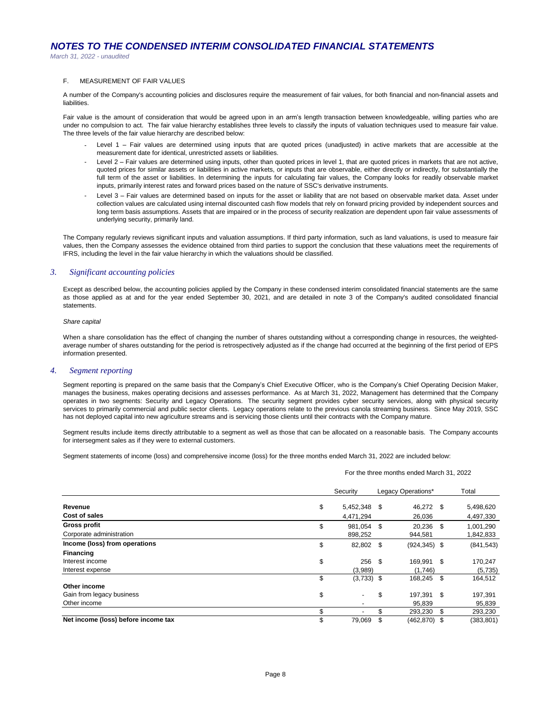*March 31, 2022 - unaudited*

#### F. MEASUREMENT OF FAIR VALUES

A number of the Company's accounting policies and disclosures require the measurement of fair values, for both financial and non-financial assets and liabilities.

Fair value is the amount of consideration that would be agreed upon in an arm's length transaction between knowledgeable, willing parties who are under no compulsion to act. The fair value hierarchy establishes three levels to classify the inputs of valuation techniques used to measure fair value. The three levels of the fair value hierarchy are described below:

- Level 1 Fair values are determined using inputs that are quoted prices (unadjusted) in active markets that are accessible at the measurement date for identical, unrestricted assets or liabilities.
- Level 2 – Fair values are determined using inputs, other than quoted prices in level 1, that are quoted prices in markets that are not active, quoted prices for similar assets or liabilities in active markets, or inputs that are observable, either directly or indirectly, for substantially the full term of the asset or liabilities. In determining the inputs for calculating fair values, the Company looks for readily observable market inputs, primarily interest rates and forward prices based on the nature of SSC's derivative instruments.
- Level 3 – Fair values are determined based on inputs for the asset or liability that are not based on observable market data. Asset under collection values are calculated using internal discounted cash flow models that rely on forward pricing provided by independent sources and long term basis assumptions. Assets that are impaired or in the process of security realization are dependent upon fair value assessments of underlying security, primarily land.

The Company regularly reviews significant inputs and valuation assumptions. If third party information, such as land valuations, is used to measure fair values, then the Company assesses the evidence obtained from third parties to support the conclusion that these valuations meet the requirements of IFRS, including the level in the fair value hierarchy in which the valuations should be classified.

## *3. Significant accounting policies*

Except as described below, the accounting policies applied by the Company in these condensed interim consolidated financial statements are the same as those applied as at and for the year ended September 30, 2021, and are detailed in note 3 of the Company's audited consolidated financial statements.

#### *Share capital*

When a share consolidation has the effect of changing the number of shares outstanding without a corresponding change in resources, the weightedaverage number of shares outstanding for the period is retrospectively adjusted as if the change had occurred at the beginning of the first period of EPS information presented.

### *4. Segment reporting*

Segment reporting is prepared on the same basis that the Company's Chief Executive Officer, who is the Company's Chief Operating Decision Maker, manages the business, makes operating decisions and assesses performance. As at March 31, 2022, Management has determined that the Company operates in two segments: Security and Legacy Operations. The security segment provides cyber security services, along with physical security services to primarily commercial and public sector clients. Legacy operations relate to the previous canola streaming business. Since May 2019, SSC has not deployed capital into new agriculture streams and is servicing those clients until their contracts with the Company mature.

Segment results include items directly attributable to a segment as well as those that can be allocated on a reasonable basis. The Company accounts for intersegment sales as if they were to external customers.

Segment statements of income (loss) and comprehensive income (loss) for the three months ended March 31, 2022 are included below:

For the three months ended March 31, 2022

|                                     | Security           | Legacy Operations* |      | Total      |
|-------------------------------------|--------------------|--------------------|------|------------|
| Revenue                             | \$<br>5,452,348 \$ | 46,272 \$          |      | 5,498,620  |
| Cost of sales                       | 4,471,294          | 26,036             |      | 4,497,330  |
| <b>Gross profit</b>                 | \$<br>981.054 \$   | 20,236 \$          |      | 1,001,290  |
| Corporate administration            | 898,252            | 944,581            |      | 1,842,833  |
| Income (loss) from operations       | \$<br>82,802 \$    | $(924, 345)$ \$    |      | (841, 543) |
| <b>Financing</b>                    |                    |                    |      |            |
| Interest income                     | \$<br>$256$ \$     | 169,991 \$         |      | 170,247    |
| Interest expense                    | (3,989)            | (1,746)            |      | (5,735)    |
|                                     | \$<br>$(3,733)$ \$ | 168,245 \$         |      | 164,512    |
| Other income                        |                    |                    |      |            |
| Gain from legacy business           | \$                 | \$<br>197,391 \$   |      | 197,391    |
| Other income                        |                    | 95,839             |      | 95,839     |
|                                     | \$                 | 293,230            | - \$ | 293,230    |
| Net income (loss) before income tax | 79,069             | $(462, 870)$ \$    |      | (383, 801) |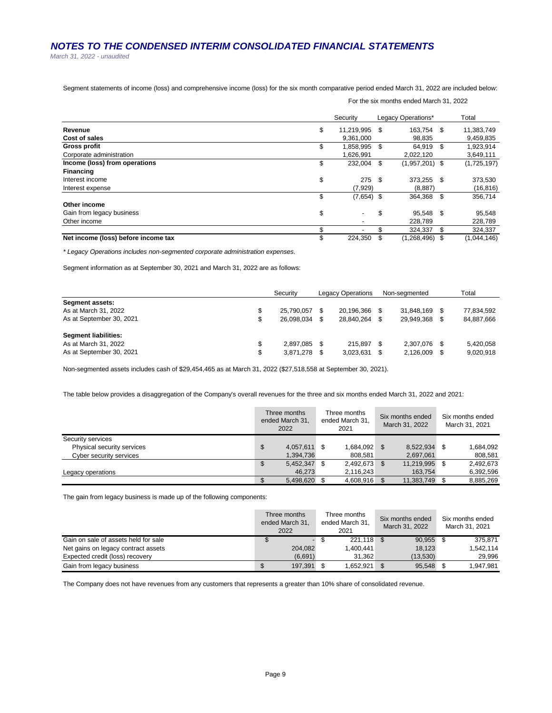*March 31, 2022 - unaudited*

Segment statements of income (loss) and comprehensive income (loss) for the six month comparative period ended March 31, 2022 are included below:

|                                     | Security            |      | Legacy Operations* |     | Total       |
|-------------------------------------|---------------------|------|--------------------|-----|-------------|
| Revenue                             | \$<br>11,219,995 \$ |      | 163.754 \$         |     | 11,383,749  |
| Cost of sales                       | 9.361.000           |      | 98.835             |     | 9,459,835   |
| <b>Gross profit</b>                 | \$<br>1,858,995     | -S   | 64.919 \$          |     | 1,923,914   |
| Corporate administration            | 1,626,991           |      | 2,022,120          |     | 3,649,111   |
| Income (loss) from operations       | \$<br>232.004       | \$   | $(1,957,201)$ \$   |     | (1,725,197) |
| <b>Financing</b>                    |                     |      |                    |     |             |
| Interest income                     | \$<br>275           | - \$ | 373,255 \$         |     | 373,530     |
| Interest expense                    | (7, 929)            |      | (8.887)            |     | (16, 816)   |
|                                     | \$<br>$(7,654)$ \$  |      | 364,368            | -\$ | 356,714     |
| Other income                        |                     |      |                    |     |             |
| Gain from legacy business           | \$                  | \$   | 95.548 \$          |     | 95,548      |
| Other income                        |                     |      | 228.789            |     | 228,789     |
|                                     | \$                  | \$   | 324.337            | \$  | 324,337     |
| Net income (loss) before income tax | \$<br>224,350       | \$   | $(1,268,496)$ \$   |     | (1,044,146) |

For the six months ended March 31, 2022

*\* Legacy Operations includes non-segmented corporate administration expenses.* 

Segment information as at September 30, 2021 and March 31, 2022 are as follows:

|                                                                            |         | Security                 |      | <b>Legacy Operations</b> |             | Non-seamented            | Total                    |
|----------------------------------------------------------------------------|---------|--------------------------|------|--------------------------|-------------|--------------------------|--------------------------|
| <b>Segment assets:</b><br>As at March 31, 2022<br>As at September 30, 2021 | S<br>S  | 25,790,057<br>26.098.034 |      | 20,196,366<br>28.840.264 | - \$        | 31.848.169<br>29.949.368 | 77,834,592<br>84,887,666 |
| Segment liabilities:<br>As at March 31, 2022<br>As at September 30, 2021   | S<br>\$ | 2.897.085<br>3.871.278   | - \$ | 215.897<br>3,023,631     | - \$<br>-\$ | 2.307.076<br>2.126.009   | 5,420,058<br>9,020,918   |

Non-segmented assets includes cash of \$29,454,465 as at March 31, 2022 (\$27,518,558 at September 30, 2021).

The table below provides a disaggregation of the Company's overall revenues for the three and six months ended March 31, 2022 and 2021:

|                            | Three months<br>ended March 31.<br>2022 | Three months<br>ended March 31.<br>2021 | Six months ended<br>March 31, 2022 |     | Six months ended<br>March 31, 2021 |
|----------------------------|-----------------------------------------|-----------------------------------------|------------------------------------|-----|------------------------------------|
| Security services          |                                         |                                         |                                    |     |                                    |
| Physical security services | \$<br>4,057,611 \$                      | 1.684.092 \$                            | 8.522.934                          | \$. | 1,684,092                          |
| Cyber security services    | 1,394,736                               | 808.581                                 | 2,697,061                          |     | 808,581                            |
|                            | \$<br>5,452,347 \$                      | 2.492.673 \$                            | 11.219.995                         | S   | 2.492.673                          |
| Legacy operations          | 46.273                                  | 2.116.243                               | 163.754                            |     | 6,392,596                          |
|                            | 5,498,620 \$                            | 4.608.916 \$                            | 11,383,749                         |     | 8.885.269                          |

The gain from legacy business is made up of the following components:

|                                      | Three months<br>ended March 31.<br>2022 | Three months<br>ended March 31.<br>2021 | Six months ended<br>March 31, 2022 | Six months ended<br>March 31, 2021 |
|--------------------------------------|-----------------------------------------|-----------------------------------------|------------------------------------|------------------------------------|
| Gain on sale of assets held for sale |                                         | 221.118 \$                              | 90.955                             | 375.871                            |
| Net gains on legacy contract assets  | 204.082                                 | 1.400.441                               | 18.123                             | 1,542,114                          |
| Expected credit (loss) recovery      | (6,691)                                 | 31.362                                  | (13,530)                           | 29,996                             |
| Gain from legacy business            | 197,391 \$<br>\$                        | 1,652,921 \$                            | 95.548                             | 1,947,981                          |

The Company does not have revenues from any customers that represents a greater than 10% share of consolidated revenue.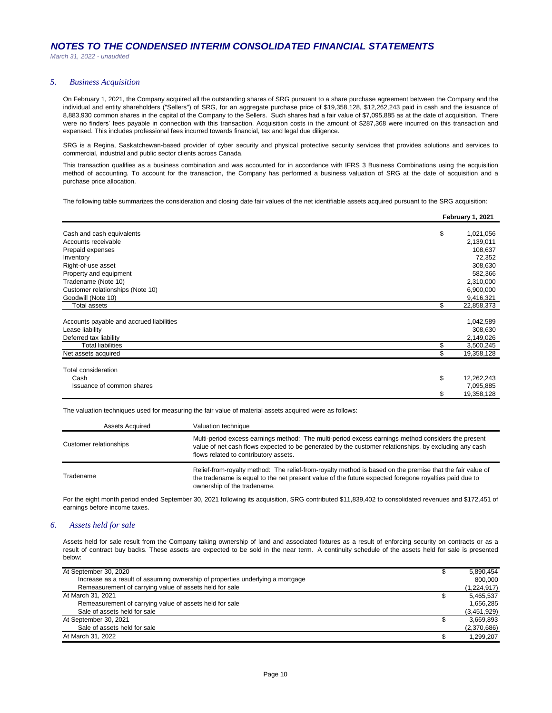## *5. Business Acquisition*

On February 1, 2021, the Company acquired all the outstanding shares of SRG pursuant to a share purchase agreement between the Company and the individual and entity shareholders ("Sellers") of SRG, for an aggregate purchase price of \$19,358,128, \$12,262,243 paid in cash and the issuance of 8,883,930 common shares in the capital of the Company to the Sellers. Such shares had a fair value of \$7,095,885 as at the date of acquisition. There were no finders' fees payable in connection with this transaction. Acquisition costs in the amount of \$287,368 were incurred on this transaction and expensed. This includes professional fees incurred towards financial, tax and legal due diligence.

SRG is a Regina, Saskatchewan-based provider of cyber security and physical protective security services that provides solutions and services to commercial, industrial and public sector clients across Canada.

This transaction qualifies as a business combination and was accounted for in accordance with IFRS 3 Business Combinations using the acquisition method of accounting. To account for the transaction, the Company has performed a business valuation of SRG at the date of acquisition and a purchase price allocation.

The following table summarizes the consideration and closing date fair values of the net identifiable assets acquired pursuant to the SRG acquisition:

|                                          | February 1, 2021 |
|------------------------------------------|------------------|
|                                          |                  |
| Cash and cash equivalents                | \$<br>1,021,056  |
| Accounts receivable                      | 2,139,011        |
| Prepaid expenses                         | 108,637          |
| Inventory                                | 72,352           |
| Right-of-use asset                       | 308,630          |
| Property and equipment                   | 582,366          |
| Tradename (Note 10)                      | 2,310,000        |
| Customer relationships (Note 10)         | 6,900,000        |
| Goodwill (Note 10)                       | 9,416,321        |
| <b>Total assets</b>                      | \$<br>22,858,373 |
|                                          |                  |
| Accounts payable and accrued liabilities | 1,042,589        |
| Lease liability                          | 308,630          |
| Deferred tax liability                   | 2,149,026        |
| <b>Total liabilities</b>                 | 3,500,245        |
| Net assets acquired                      | \$<br>19,358,128 |
| <b>Total consideration</b>               |                  |
| Cash                                     | \$<br>12,262,243 |
|                                          |                  |
| Issuance of common shares                | 7,095,885        |
|                                          | \$<br>19,358,128 |

The valuation techniques used for measuring the fair value of material assets acquired were as follows:

| <b>Assets Acquired</b> | Valuation technique                                                                                                                                                                                                                                  |
|------------------------|------------------------------------------------------------------------------------------------------------------------------------------------------------------------------------------------------------------------------------------------------|
| Customer relationships | Multi-period excess earnings method: The multi-period excess earnings method considers the present<br>value of net cash flows expected to be generated by the customer relationships, by excluding any cash<br>flows related to contributory assets. |
| Tradename              | Relief-from-royalty method: The relief-from-royalty method is based on the premise that the fair value of<br>the tradename is equal to the net present value of the future expected foregone royalties paid due to<br>ownership of the tradename.    |

For the eight month period ended September 30, 2021 following its acquisition, SRG contributed \$11,839,402 to consolidated revenues and \$172,451 of earnings before income taxes.

## *6. Assets held for sale*

Assets held for sale result from the Company taking ownership of land and associated fixtures as a result of enforcing security on contracts or as a result of contract buy backs. These assets are expected to be sold in the near term. A continuity schedule of the assets held for sale is presented below:

| At September 30, 2020                                                          | 5,890,454   |
|--------------------------------------------------------------------------------|-------------|
| Increase as a result of assuming ownership of properties underlying a mortgage | 800.000     |
| Remeasurement of carrying value of assets held for sale                        | (1,224,917) |
| At March 31, 2021                                                              | 5,465,537   |
| Remeasurement of carrying value of assets held for sale                        | 1,656,285   |
| Sale of assets held for sale                                                   | (3,451,929) |
| At September 30, 2021                                                          | 3,669,893   |
| Sale of assets held for sale                                                   | (2,370,686) |
| At March 31, 2022                                                              | 1.299.207   |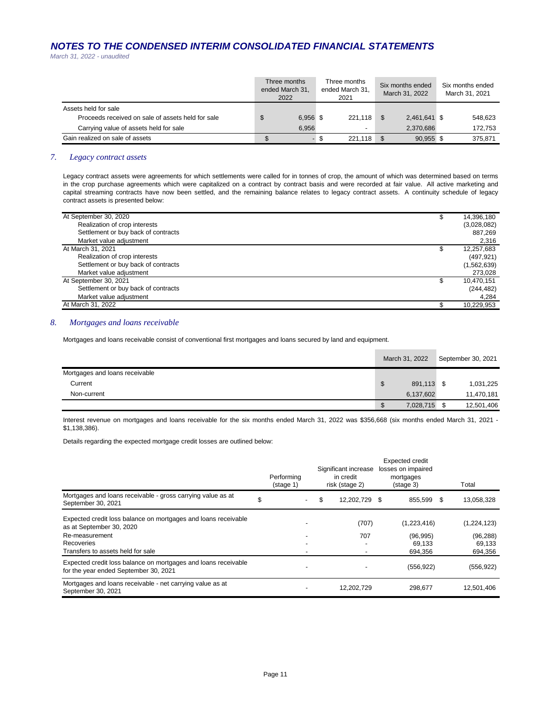*March 31, 2022 - unaudited*

|                                                   | Three months<br>ended March 31,<br>2022 | Three months<br>ended March 31,<br>2021 | Six months ended<br>March 31, 2022 | Six months ended<br>March 31, 2021 |
|---------------------------------------------------|-----------------------------------------|-----------------------------------------|------------------------------------|------------------------------------|
| Assets held for sale                              |                                         |                                         |                                    |                                    |
| Proceeds received on sale of assets held for sale | 6.956 \$                                | 221.118 \$                              | 2,461,641 \$                       | 548.623                            |
| Carrying value of assets held for sale            | 6.956                                   | -                                       | 2.370.686                          | 172.753                            |
| Gain realized on sale of assets                   |                                         | $221,118$ \$                            | 90.955 \$                          | 375.871                            |

## *7. Legacy contract assets*

Legacy contract assets were agreements for which settlements were called for in tonnes of crop, the amount of which was determined based on terms in the crop purchase agreements which were capitalized on a contract by contract basis and were recorded at fair value. All active marketing and capital streaming contracts have now been settled, and the remaining balance relates to legacy contract assets. A continuity schedule of legacy contract assets is presented below:

| At September 30, 2020               | 14,396,180  |
|-------------------------------------|-------------|
| Realization of crop interests       | (3,028,082) |
| Settlement or buy back of contracts | 887,269     |
| Market value adjustment             | 2,316       |
| At March 31, 2021                   | 12,257,683  |
| Realization of crop interests       | (497, 921)  |
| Settlement or buy back of contracts | (1,562,639) |
| Market value adjustment             | 273,028     |
| At September 30, 2021               | 10,470,151  |
| Settlement or buy back of contracts | (244, 482)  |
| Market value adjustment             | 4.284       |
| At March 31, 2022                   | 10,229,953  |

## *8. Mortgages and loans receivable*

Mortgages and loans receivable consist of conventional first mortgages and loans secured by land and equipment.

|                                | March 31, 2022  | September 30, 2021 |            |  |
|--------------------------------|-----------------|--------------------|------------|--|
| Mortgages and loans receivable |                 |                    |            |  |
| Current                        | \$<br>891,113   | - \$               | 1,031,225  |  |
| Non-current                    | 6,137,602       |                    | 11,470,181 |  |
|                                | \$<br>7,028,715 |                    | 12,501,406 |  |

Interest revenue on mortgages and loans receivable for the six months ended March 31, 2022 was \$356,668 (six months ended March 31, 2021 - \$1,138,386).

Details regarding the expected mortgage credit losses are outlined below:

|                                                                                                         |   | Performing<br>$(\text{stage } 1)$ | Significant increase<br>in credit<br>risk (stage 2) |   | <b>Expected credit</b><br>losses on impaired<br>mortgages<br>(stage 3) | Total       |
|---------------------------------------------------------------------------------------------------------|---|-----------------------------------|-----------------------------------------------------|---|------------------------------------------------------------------------|-------------|
| Mortgages and loans receivable - gross carrying value as at<br>September 30, 2021                       | S |                                   | \$<br>12.202.729                                    | S | 855.599 \$                                                             | 13,058,328  |
| Expected credit loss balance on mortgages and loans receivable<br>as at September 30, 2020              |   |                                   | (707)                                               |   | (1,223,416)                                                            | (1,224,123) |
| Re-measurement                                                                                          |   |                                   | 707                                                 |   | (96, 995)                                                              | (96, 288)   |
| <b>Recoveries</b>                                                                                       |   |                                   |                                                     |   | 69.133                                                                 | 69.133      |
| Transfers to assets held for sale                                                                       |   |                                   |                                                     |   | 694,356                                                                | 694,356     |
| Expected credit loss balance on mortgages and loans receivable<br>for the year ended September 30, 2021 |   |                                   |                                                     |   | (556, 922)                                                             | (556, 922)  |
| Mortgages and loans receivable - net carrying value as at<br>September 30, 2021                         |   |                                   | 12,202,729                                          |   | 298.677                                                                | 12,501,406  |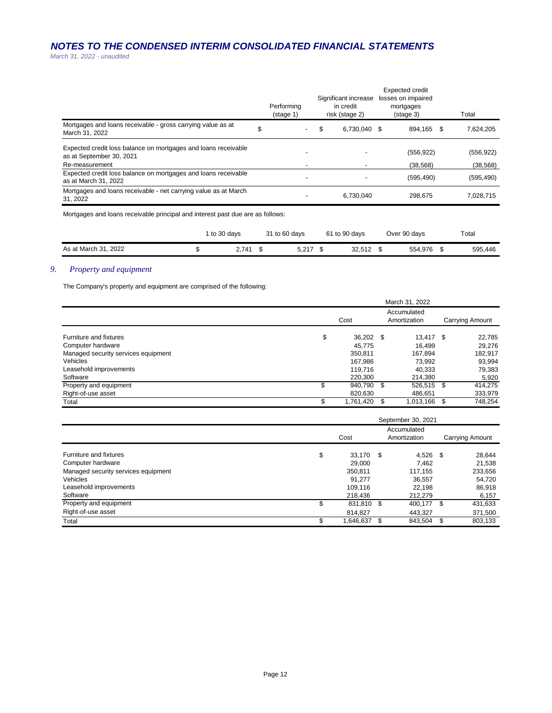*March 31, 2022 - unaudited*

|                                                                                            | Performing<br>$(s \text{tage 1})$ | Significant increase<br>in credit<br>risk (stage 2) | <b>Expected credit</b><br>losses on impaired<br>mortgages<br>$(s \text{tage } 3)$ | Total      |
|--------------------------------------------------------------------------------------------|-----------------------------------|-----------------------------------------------------|-----------------------------------------------------------------------------------|------------|
| Mortgages and loans receivable - gross carrying value as at<br>March 31, 2022              | \$                                | \$<br>6.730.040 \$                                  | 894.165 \$                                                                        | 7,624,205  |
| Expected credit loss balance on mortgages and loans receivable<br>as at September 30, 2021 |                                   |                                                     | (556, 922)                                                                        | (556, 922) |
| Re-measurement                                                                             |                                   |                                                     | (38, 568)                                                                         | (38, 568)  |
| Expected credit loss balance on mortgages and loans receivable<br>as at March 31, 2022     |                                   |                                                     | (595, 490)                                                                        | (595, 490) |
| Mortgages and loans receivable - net carrying value as at March<br>31, 2022                |                                   | 6,730,040                                           | 298.675                                                                           | 7.028.715  |
|                                                                                            |                                   |                                                     |                                                                                   |            |

Mortgages and loans receivable principal and interest past due are as follows:

|                      | to 30 davs | 31 to 60 days | 61 to 90 days | Over 90 days | Total   |
|----------------------|------------|---------------|---------------|--------------|---------|
| As at March 31, 2022 | 2.741      | 5.217         | 32.512        | 554.976      | 595,446 |

## *9. Property and equipment*

The Company's property and equipment are comprised of the following:

|                                     |      |              |  | March 31, 2022 |      |                 |  |
|-------------------------------------|------|--------------|--|----------------|------|-----------------|--|
|                                     | Cost |              |  |                |      | Carrying Amount |  |
| Furniture and fixtures              | \$   | 36,202 \$    |  | 13.417 \$      |      | 22,785          |  |
| Computer hardware                   |      | 45.775       |  | 16.499         |      | 29,276          |  |
| Managed security services equipment |      | 350,811      |  | 167,894        |      | 182,917         |  |
| Vehicles                            |      | 167.986      |  | 73.992         |      | 93,994          |  |
| Leasehold improvements              |      | 119.716      |  | 40.333         |      | 79,383          |  |
| Software                            |      | 220,300      |  | 214.380        |      | 5,920           |  |
| Property and equipment              | S    | 940,790 \$   |  | 526,515        | - \$ | 414,275         |  |
| Right-of-use asset                  |      | 820,630      |  | 486,651        |      | 333,979         |  |
| Total                               |      | 1,761,420 \$ |  | 1.013.166      | \$   | 748,254         |  |

|                                     |      |            |    | September 30, 2021          |                 |         |
|-------------------------------------|------|------------|----|-----------------------------|-----------------|---------|
|                                     | Cost |            |    | Accumulated<br>Amortization | Carrying Amount |         |
| Furniture and fixtures              | \$   | 33.170     | \$ | $4,526$ \$                  |                 | 28,644  |
| Computer hardware                   |      | 29,000     |    | 7.462                       |                 | 21,538  |
| Managed security services equipment |      | 350,811    |    | 117,155                     |                 | 233,656 |
| Vehicles                            |      | 91.277     |    | 36,557                      |                 | 54,720  |
| Leasehold improvements              |      | 109.116    |    | 22.198                      |                 | 86,918  |
| Software                            |      | 218,436    |    | 212.279                     |                 | 6,157   |
| Property and equipment              | \$   | 831,810 \$ |    | 400,177 \$                  |                 | 431,633 |
| Right-of-use asset                  |      | 814.827    |    | 443.327                     |                 | 371,500 |
| Total                               | \$   | 1,646,637  | \$ | 843,504 \$                  |                 | 803,133 |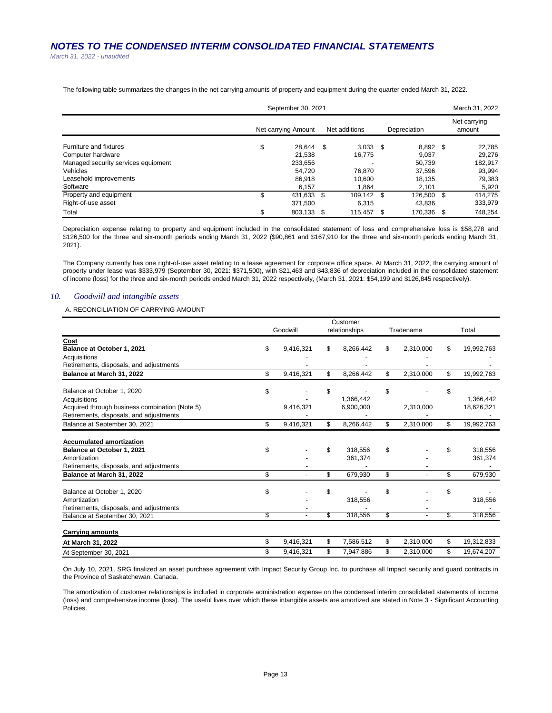*March 31, 2022 - unaudited*

The following table summarizes the changes in the net carrying amounts of property and equipment during the quarter ended March 31, 2022.

|                                     |                     | September 30, 2021 |  |               |              |            | March 31, 2022 |                        |  |
|-------------------------------------|---------------------|--------------------|--|---------------|--------------|------------|----------------|------------------------|--|
|                                     | Net carrying Amount |                    |  | Net additions | Depreciation |            |                | Net carrying<br>amount |  |
| Furniture and fixtures              | \$                  | 28.644 \$          |  | $3,033$ \$    |              | $8.892$ \$ |                | 22,785                 |  |
| Computer hardware                   |                     | 21.538             |  | 16.775        |              | 9.037      |                | 29.276                 |  |
| Managed security services equipment |                     | 233,656            |  |               |              | 50.739     |                | 182.917                |  |
| Vehicles                            |                     | 54.720             |  | 76.870        |              | 37,596     |                | 93,994                 |  |
| Leasehold improvements              |                     | 86.918             |  | 10.600        |              | 18.135     |                | 79,383                 |  |
| Software                            |                     | 6.157              |  | 1.864         |              | 2.101      |                | 5,920                  |  |
| Property and equipment              | \$                  | 431,633 \$         |  | 109.142 \$    |              | 126.500    | \$             | 414.275                |  |
| Right-of-use asset                  |                     | 371,500            |  | 6,315         |              | 43,836     |                | 333,979                |  |
| Total                               | \$                  | 803.133 \$         |  | 115.457       |              | 170.336    | \$.            | 748.254                |  |

Depreciation expense relating to property and equipment included in the consolidated statement of loss and comprehensive loss is \$58,278 and \$126,500 for the three and six-month periods ending March 31, 2022 (\$90,861 and \$167,910 for the three and six-month periods ending March 31, 2021).

The Company currently has one right-of-use asset relating to a lease agreement for corporate office space. At March 31, 2022, the carrying amount of property under lease was \$333,979 (September 30, 2021: \$371,500), with \$21,463 and \$43,836 of depreciation included in the consolidated statement of income (loss) for the three and six-month periods ended March 31, 2022 respectively, (March 31, 2021: \$54,199 and \$126,845 respectively).

## *10. Goodwill and intangible assets*

A. RECONCILIATION OF CARRYING AMOUNT

|                                                | Customer |           |    |               |                 |                  |
|------------------------------------------------|----------|-----------|----|---------------|-----------------|------------------|
|                                                |          | Goodwill  |    | relationships | Tradename       | Total            |
| Cost                                           |          |           |    |               |                 |                  |
| Balance at October 1, 2021                     | \$       | 9,416,321 | \$ | 8,266,442     | \$<br>2,310,000 | \$<br>19,992,763 |
| Acquisitions                                   |          |           |    |               |                 |                  |
| Retirements, disposals, and adjustments        |          |           |    |               |                 |                  |
| Balance at March 31, 2022                      | \$       | 9,416,321 | \$ | 8,266,442     | \$<br>2,310,000 | \$<br>19,992,763 |
| Balance at October 1, 2020                     | \$       |           | \$ |               | \$              | \$               |
| Acquisitions                                   |          |           |    | 1,366,442     |                 | 1,366,442        |
| Acquired through business combination (Note 5) |          | 9,416,321 |    | 6,900,000     | 2,310,000       | 18,626,321       |
| Retirements, disposals, and adjustments        |          |           |    |               |                 |                  |
| Balance at September 30, 2021                  | \$       | 9,416,321 | \$ | 8,266,442     | \$<br>2,310,000 | \$<br>19,992,763 |
| <b>Accumulated amortization</b>                |          |           |    |               |                 |                  |
| Balance at October 1, 2021                     | \$       |           | \$ | 318.556       | \$              | \$<br>318.556    |
| Amortization                                   |          |           |    | 361,374       |                 | 361,374          |
| Retirements, disposals, and adjustments        |          |           |    |               |                 |                  |
| Balance at March 31, 2022                      | \$       |           | \$ | 679,930       | \$              | \$<br>679,930    |
| Balance at October 1, 2020                     | \$       |           | \$ |               | \$              | \$               |
| Amortization                                   |          |           |    | 318,556       |                 | 318,556          |
| Retirements, disposals, and adjustments        |          |           |    |               |                 |                  |
| Balance at September 30, 2021                  | \$       |           | S  | 318,556       | \$              | \$<br>318.556    |
|                                                |          |           |    |               |                 |                  |
| <b>Carrying amounts</b>                        |          |           |    |               |                 |                  |
| At March 31, 2022                              | \$       | 9,416,321 | \$ | 7,586,512     | \$<br>2,310,000 | \$<br>19,312,833 |
| At September 30, 2021                          | \$       | 9,416,321 | \$ | 7,947,886     | \$<br>2,310,000 | \$<br>19,674,207 |

On July 10, 2021, SRG finalized an asset purchase agreement with Impact Security Group Inc. to purchase all Impact security and guard contracts in the Province of Saskatchewan, Canada.

The amortization of customer relationships is included in corporate administration expense on the condensed interim consolidated statements of income (loss) and comprehensive income (loss). The useful lives over which these intangible assets are amortized are stated in Note 3 - Significant Accounting Policies.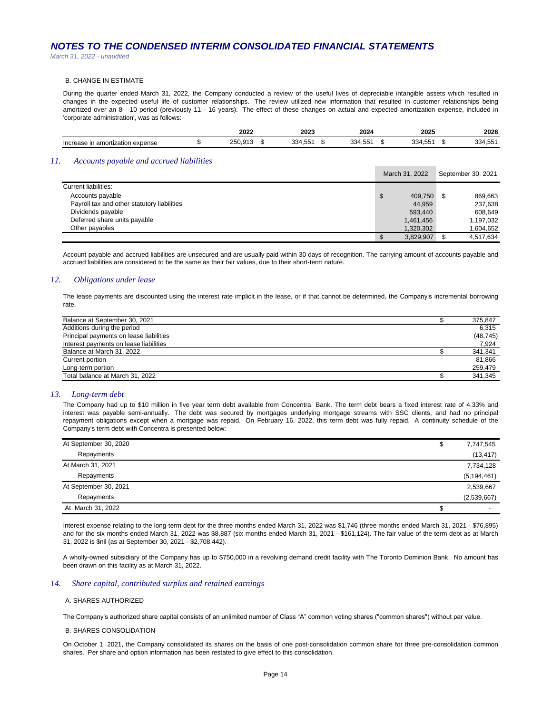*March 31, 2022 - unaudited*

#### B. CHANGE IN ESTIMATE

During the quarter ended March 31, 2022, the Company conducted a review of the useful lives of depreciable intangible assets which resulted in changes in the expected useful life of customer relationships. The review utilized new information that resulted in customer relationships being amortized over an 8 - 10 period (previously 11 - 16 years). The effect of these changes on actual and expected amortization expense, included in 'corporate administration', was as follows:

|                                  | 2022 | 2023                      | 2024                | 2025    | 2026    |
|----------------------------------|------|---------------------------|---------------------|---------|---------|
| Increase in amortization expense |      | $-$<br>334.<br>55<br>1.JJ | EE.<br>۹34<br>7. UU | 334,551 | 334,551 |

## *11. Accounts payable and accrued liabilities*

|                                             | March 31, 2022  |  | September 30, 2021 |
|---------------------------------------------|-----------------|--|--------------------|
| Current liabilities:                        |                 |  |                    |
| Accounts payable                            | \$<br>409.750   |  | 869.663            |
| Payroll tax and other statutory liabilities | 44,959          |  | 237,638            |
| Dividends payable                           | 593.440         |  | 608.649            |
| Deferred share units payable                | 1,461,456       |  | 1,197,032          |
| Other payables                              | 1.320.302       |  | 1,604,652          |
|                                             | \$<br>3,829,907 |  | 4.517.634          |

Account payable and accrued liabilities are unsecured and are usually paid within 30 days of recognition. The carrying amount of accounts payable and accrued liabilities are considered to be the same as their fair values, due to their short-term nature.

## *12. Obligations under lease*

The lease payments are discounted using the interest rate implicit in the lease, or if that cannot be determined, the Company's incremental borrowing rate.

| Balance at September 30, 2021           | 375,847   |
|-----------------------------------------|-----------|
| Additions during the period             | 6.315     |
| Principal payments on lease liabilities | (48, 745) |
| Interest payments on lease liabilities  | 7.924     |
| Balance at March 31, 2022               | 341,341   |
| Current portion                         | 81.866    |
| Long-term portion                       | 259.479   |
| Total balance at March 31, 2022         | 341.345   |

### *13. Long-term debt*

The Company had up to \$10 million in five year term debt available from Concentra Bank. The term debt bears a fixed interest rate of 4.33% and interest was payable semi-annually. The debt was secured by mortgages underlying mortgage streams with SSC clients, and had no principal repayment obligations except when a mortgage was repaid. On February 16, 2022, this term debt was fully repaid. A continuity schedule of the Company's term debt with Concentra is presented below:

| At September 30, 2020 | \$<br>7,747,545 |
|-----------------------|-----------------|
| Repayments            | (13, 417)       |
| At March 31, 2021     | 7,734,128       |
| Repayments            | (5, 194, 461)   |
| At September 30, 2021 | 2,539,667       |
| Repayments            | (2,539,667)     |
| At March 31, 2022     |                 |

Interest expense relating to the long-term debt for the three months ended March 31, 2022 was \$1,746 (three months ended March 31, 2021 - \$76,895) and for the six months ended March 31, 2022 was \$8,887 (six months ended March 31, 2021 - \$161,124). The fair value of the term debt as at March 31, 2022 is \$nil (as at September 30, 2021 - \$2,708,442).

A wholly-owned subsidiary of the Company has up to \$750,000 in a revolving demand credit facility with The Toronto Dominion Bank. No amount has been drawn on this facility as at March 31, 2022.

### *14. Share capital, contributed surplus and retained earnings*

#### A. SHARES AUTHORIZED

The Company's authorized share capital consists of an unlimited number of Class "A" common voting shares ("common shares") without par value.

#### B. SHARES CONSOLIDATION

On October 1, 2021, the Company consolidated its shares on the basis of one post-consolidation common share for three pre-consolidation common shares. Per share and option information has been restated to give effect to this consolidation.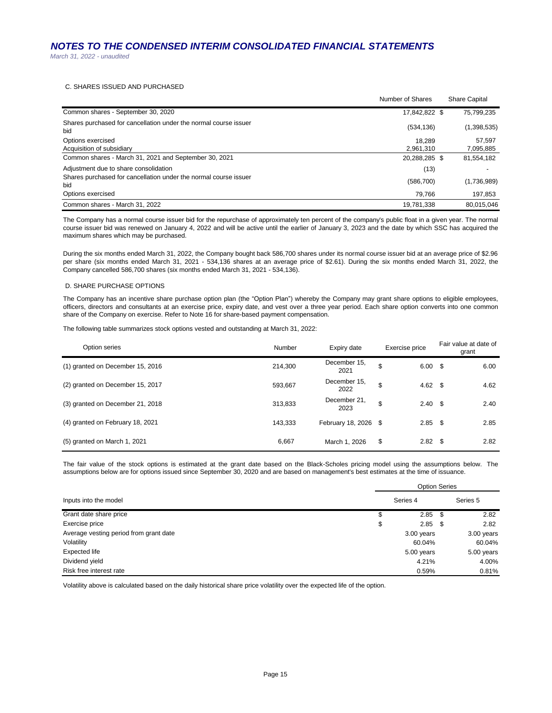## C. SHARES ISSUED AND PURCHASED

|                                                                         | Number of Shares | <b>Share Capital</b> |
|-------------------------------------------------------------------------|------------------|----------------------|
| Common shares - September 30, 2020                                      | 17,842,822 \$    | 75,799,235           |
| Shares purchased for cancellation under the normal course issuer<br>bid | (534, 136)       | (1,398,535)          |
| Options exercised                                                       | 18.289           | 57.597               |
| Acquisition of subsidiary                                               | 2.961.310        | 7,095,885            |
| Common shares - March 31, 2021 and September 30, 2021                   | 20.288.285 \$    | 81,554,182           |
| Adjustment due to share consolidation                                   | (13)             |                      |
| Shares purchased for cancellation under the normal course issuer<br>bid | (586, 700)       | (1,736,989)          |
| Options exercised                                                       | 79.766           | 197,853              |
| Common shares - March 31, 2022                                          | 19,781,338       | 80.015.046           |

The Company has a normal course issuer bid for the repurchase of approximately ten percent of the company's public float in a given year. The normal course issuer bid was renewed on January 4, 2022 and will be active until the earlier of January 3, 2023 and the date by which SSC has acquired the maximum shares which may be purchased.

During the six months ended March 31, 2022, the Company bought back 586,700 shares under its normal course issuer bid at an average price of \$2.96 per share (six months ended March 31, 2021 - 534,136 shares at an average price of \$2.61). During the six months ended March 31, 2022, the Company cancelled 586,700 shares (six months ended March 31, 2021 - 534,136).

### D. SHARE PURCHASE OPTIONS

The Company has an incentive share purchase option plan (the "Option Plan") whereby the Company may grant share options to eligible employees, officers, directors and consultants at an exercise price, expiry date, and vest over a three year period. Each share option converts into one common share of the Company on exercise. Refer to Note 16 for share-based payment compensation.

The following table summarizes stock options vested and outstanding at March 31, 2022:

| Option series                    | Number  | Exercise price<br>Expiry date |                         | Fair value at date of<br>grant |  |
|----------------------------------|---------|-------------------------------|-------------------------|--------------------------------|--|
| (1) granted on December 15, 2016 | 214,300 | December 15,<br>2021          | \$<br>$6.00\quad$ \$    | 6.00                           |  |
| (2) granted on December 15, 2017 | 593,667 | December 15.<br>2022          | \$<br>4.62 \$           | 4.62                           |  |
| (3) granted on December 21, 2018 | 313,833 | December 21,<br>2023          | \$<br>$2.40\quad$       | 2.40                           |  |
| (4) granted on February 18, 2021 | 143,333 | February 18, 2026 \$          | $2.85$ \$               | 2.85                           |  |
| $(5)$ granted on March 1, 2021   | 6.667   | March 1, 2026                 | \$<br>2.82 <sup>5</sup> | 2.82                           |  |

The fair value of the stock options is estimated at the grant date based on the Black-Scholes pricing model using the assumptions below. The assumptions below are for options issued since September 30, 2020 and are based on management's best estimates at the time of issuance.

|                                        | <b>Option Series</b> |              |
|----------------------------------------|----------------------|--------------|
| Inputs into the model                  | Series 4             | Series 5     |
| Grant date share price                 | \$<br>$2.85$ \$      | 2.82         |
| Exercise price                         | \$<br>$2.85$ \$      | 2.82         |
| Average vesting period from grant date | 3.00 years           | $3.00$ years |
| Volatility                             | 60.04%               | 60.04%       |
| Expected life                          | 5.00 years           | 5.00 years   |
| Dividend yield                         | 4.21%                | 4.00%        |
| Risk free interest rate                | 0.59%                | 0.81%        |

Volatility above is calculated based on the daily historical share price volatility over the expected life of the option.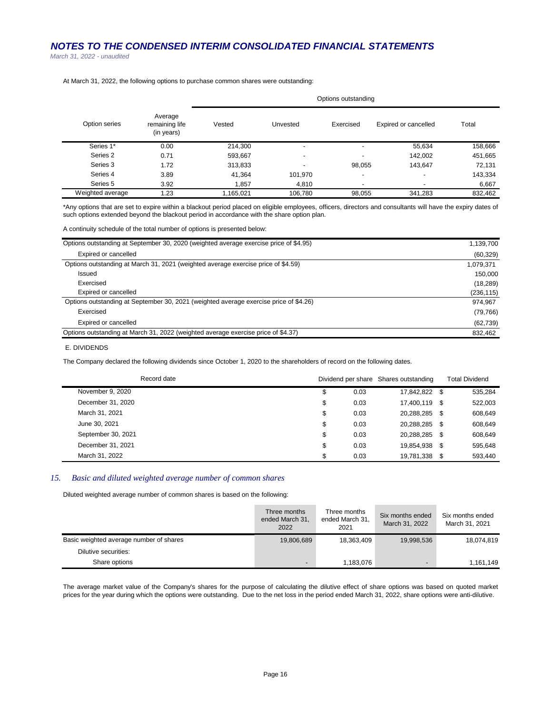*March 31, 2022 - unaudited*

| At March 31, 2022, the following options to purchase common shares were outstanding: |  |
|--------------------------------------------------------------------------------------|--|
|--------------------------------------------------------------------------------------|--|

|                  |                                         | Options outstanding |                          |                          |                          |         |  |  |
|------------------|-----------------------------------------|---------------------|--------------------------|--------------------------|--------------------------|---------|--|--|
| Option series    | Average<br>remaining life<br>(in years) | Vested              | Unvested                 | Exercised                | Expired or cancelled     | Total   |  |  |
| Series 1*        | 0.00                                    | 214,300             | $\overline{\phantom{0}}$ | $\overline{\phantom{a}}$ | 55,634                   | 158,666 |  |  |
| Series 2         | 0.71                                    | 593.667             | $\overline{\phantom{0}}$ | $\overline{\phantom{a}}$ | 142,002                  | 451,665 |  |  |
| Series 3         | 1.72                                    | 313,833             | $\overline{\phantom{0}}$ | 98,055                   | 143.647                  | 72,131  |  |  |
| Series 4         | 3.89                                    | 41,364              | 101,970                  | $\overline{\phantom{0}}$ | $\overline{\phantom{0}}$ | 143,334 |  |  |
| Series 5         | 3.92                                    | 1.857               | 4.810                    | $\overline{\phantom{0}}$ | $\overline{\phantom{a}}$ | 6,667   |  |  |
| Weighted average | 1.23                                    | 1,165,021           | 106.780                  | 98,055                   | 341.283                  | 832,462 |  |  |

\*Any options that are set to expire within a blackout period placed on eligible employees, officers, directors and consultants will have the expiry dates of such options extended beyond the blackout period in accordance with the share option plan.

A continuity schedule of the total number of options is presented below:

| Options outstanding at September 30, 2020 (weighted average exercise price of \$4.95) | 1,139,700  |
|---------------------------------------------------------------------------------------|------------|
| Expired or cancelled                                                                  | (60, 329)  |
| Options outstanding at March 31, 2021 (weighted average exercise price of \$4.59)     | 1,079,371  |
| Issued                                                                                | 150.000    |
| Exercised                                                                             | (18, 289)  |
| Expired or cancelled                                                                  | (236, 115) |
| Options outstanding at September 30, 2021 (weighted average exercise price of \$4.26) | 974,967    |
| Exercised                                                                             | (79, 766)  |
| Expired or cancelled                                                                  | (62, 739)  |
| Options outstanding at March 31, 2022 (weighted average exercise price of \$4.37)     | 832,462    |

## E. DIVIDENDS

The Company declared the following dividends since October 1, 2020 to the shareholders of record on the following dates.

| Record date        |            | Dividend per share Shares outstanding | <b>Total Dividend</b> |
|--------------------|------------|---------------------------------------|-----------------------|
| November 9, 2020   | \$<br>0.03 | 17.842.822 \$                         | 535,284               |
| December 31, 2020  | \$<br>0.03 | 17.400.119 \$                         | 522,003               |
| March 31, 2021     | \$<br>0.03 | 20.288.285 \$                         | 608,649               |
| June 30, 2021      | \$<br>0.03 | 20.288.285 \$                         | 608,649               |
| September 30, 2021 | \$<br>0.03 | 20,288,285 \$                         | 608,649               |
| December 31, 2021  | \$<br>0.03 | 19.854.938 \$                         | 595.648               |
| March 31, 2022     | \$<br>0.03 | 19,781,338 \$                         | 593,440               |

## *15. Basic and diluted weighted average number of common shares*

Diluted weighted average number of common shares is based on the following:

|                                         | Three months<br>ended March 31,<br>2022 | Three months<br>ended March 31,<br>2021 | Six months ended<br>March 31, 2022 | Six months ended<br>March 31, 2021 |
|-----------------------------------------|-----------------------------------------|-----------------------------------------|------------------------------------|------------------------------------|
| Basic weighted average number of shares | 19,806,689                              | 18,363,409                              | 19,998,536                         | 18,074,819                         |
| Dilutive securities:                    |                                         |                                         |                                    |                                    |
| Share options                           | $\overline{\phantom{0}}$                | 1,183,076                               | $\overline{\phantom{0}}$           | 1,161,149                          |

The average market value of the Company's shares for the purpose of calculating the dilutive effect of share options was based on quoted market prices for the year during which the options were outstanding. Due to the net loss in the period ended March 31, 2022, share options were anti-dilutive.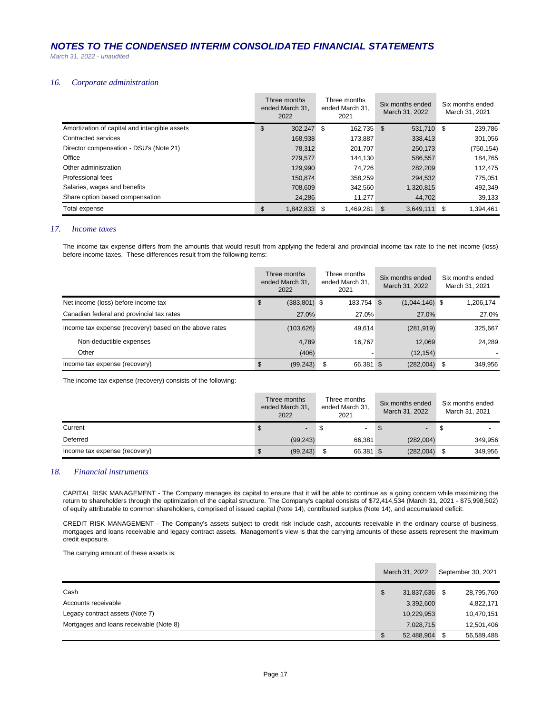*March 31, 2022 - unaudited*

## *16. Corporate administration*

|                                               | Three months<br>ended March 31,<br>2022 | Three months<br>ended March 31,<br>2021 |            | Six months ended<br>March 31, 2022 | Six months ended<br>March 31, 2021 |
|-----------------------------------------------|-----------------------------------------|-----------------------------------------|------------|------------------------------------|------------------------------------|
| Amortization of capital and intangible assets | \$<br>302,247 \$                        |                                         | 162,735 \$ | 531,710 \$                         | 239,786                            |
| Contracted services                           | 168,938                                 | 173.887                                 |            | 338,413                            | 301,056                            |
| Director compensation - DSU's (Note 21)       | 78.312                                  | 201,707                                 |            | 250,173                            | (750, 154)                         |
| Office                                        | 279,577                                 |                                         | 144.130    | 586,557                            | 184.765                            |
| Other administration                          | 129,990                                 |                                         | 74.726     | 282,209                            | 112.475                            |
| Professional fees                             | 150.874                                 | 358,259                                 |            | 294,532                            | 775,051                            |
| Salaries, wages and benefits                  | 708,609                                 | 342.560                                 |            | 1,320,815                          | 492,349                            |
| Share option based compensation               | 24,286                                  |                                         | 11.277     | 44,702                             | 39,133                             |
| Total expense                                 | \$<br>1,842,833 \$                      | 1,469,281                               |            | \$<br>3,649,111                    | \$<br>1,394,461                    |

## *17. Income taxes*

The income tax expense differs from the amounts that would result from applying the federal and provincial income tax rate to the net income (loss) before income taxes. These differences result from the following items:

|                                                        | Three months<br>ended March 31.<br>2022 | Three months<br>ended March 31,<br>2021 | Six months ended<br>March 31, 2022 | Six months ended<br>March 31, 2021 |
|--------------------------------------------------------|-----------------------------------------|-----------------------------------------|------------------------------------|------------------------------------|
| Net income (loss) before income tax                    | \$<br>$(383, 801)$ \$                   | 183,754 \$                              | $(1,044,146)$ \$                   | 1,206,174                          |
| Canadian federal and provincial tax rates              | 27.0%                                   | 27.0%                                   | 27.0%                              | 27.0%                              |
| Income tax expense (recovery) based on the above rates | (103, 626)                              | 49,614                                  | (281, 919)                         | 325,667                            |
| Non-deductible expenses                                | 4.789                                   | 16.767                                  | 12,069                             | 24.289                             |
| Other                                                  | (406)                                   |                                         | (12, 154)                          |                                    |
| Income tax expense (recovery)                          | (99, 243)<br>\$                         | 66,381 \$                               | (282,004)                          | 349.956<br>S                       |

The income tax expense (recovery) consists of the following:

|                               | Three months<br>ended March 31,<br>2022 |                          | Three months<br>ended March 31,<br>2021 |      | Six months ended<br>March 31, 2022 |  | Six months ended<br>March 31, 2021 |  |
|-------------------------------|-----------------------------------------|--------------------------|-----------------------------------------|------|------------------------------------|--|------------------------------------|--|
| Current                       |                                         | $\overline{\phantom{a}}$ | - 35                                    | - 35 | $\overline{\phantom{0}}$           |  |                                    |  |
| Deferred                      | (99, 243)                               |                          | 66,381                                  |      | (282,004)                          |  | 349.956                            |  |
| Income tax expense (recovery) | (99, 243)<br>æ.                         |                          | 66,381 \$                               |      | (282,004)                          |  | 349,956                            |  |

## *18. Financial instruments*

CAPITAL RISK MANAGEMENT - The Company manages its capital to ensure that it will be able to continue as a going concern while maximizing the return to shareholders through the optimization of the capital structure. The Company's capital consists of \$72,414,534 (March 31, 2021 - \$75,998,502) of equity attributable to common shareholders, comprised of issued capital (Note 14), contributed surplus (Note 14), and accumulated deficit.

CREDIT RISK MANAGEMENT - The Company's assets subject to credit risk include cash, accounts receivable in the ordinary course of business, mortgages and loans receivable and legacy contract assets. Management's view is that the carrying amounts of these assets represent the maximum credit exposure.

The carrying amount of these assets is:

|                                         | March 31, 2022   | September 30, 2021 |            |
|-----------------------------------------|------------------|--------------------|------------|
| Cash                                    | \$<br>31,837,636 |                    | 28,795,760 |
| Accounts receivable                     | 3,392,600        |                    | 4,822,171  |
| Legacy contract assets (Note 7)         | 10,229,953       |                    | 10.470.151 |
| Mortgages and loans receivable (Note 8) | 7.028.715        |                    | 12,501,406 |
|                                         | \$<br>52,488,904 |                    | 56,589,488 |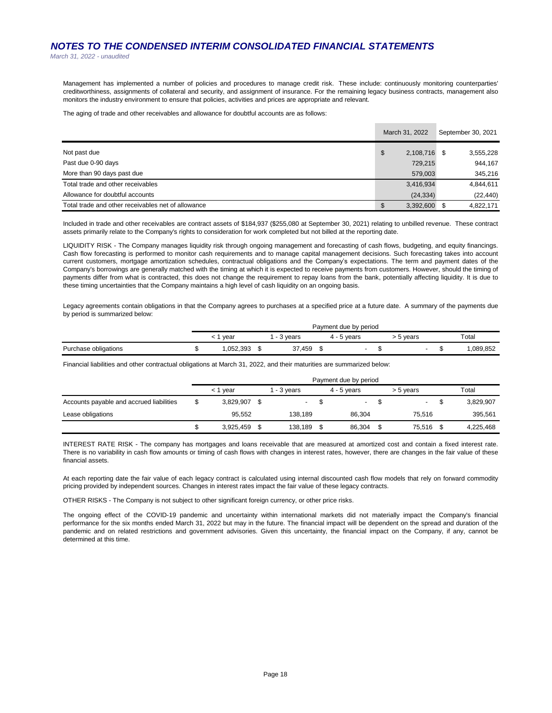*March 31, 2022 - unaudited*

Management has implemented a number of policies and procedures to manage credit risk. These include: continuously monitoring counterparties' creditworthiness, assignments of collateral and security, and assignment of insurance. For the remaining legacy business contracts, management also monitors the industry environment to ensure that policies, activities and prices are appropriate and relevant.

The aging of trade and other receivables and allowance for doubtful accounts are as follows:

|                                                    | March 31, 2022  |      | September 30, 2021 |
|----------------------------------------------------|-----------------|------|--------------------|
| Not past due                                       | \$<br>2,108,716 | - \$ | 3,555,228          |
| Past due 0-90 days                                 | 729,215         |      | 944,167            |
| More than 90 days past due                         | 579,003         |      | 345,216            |
| Total trade and other receivables                  | 3,416,934       |      | 4,844,611          |
| Allowance for doubtful accounts                    | (24, 334)       |      | (22, 440)          |
| Total trade and other receivables net of allowance | \$<br>3,392,600 |      | 4.822.171          |

Included in trade and other receivables are contract assets of \$184,937 (\$255,080 at September 30, 2021) relating to unbilled revenue. These contract assets primarily relate to the Company's rights to consideration for work completed but not billed at the reporting date.

LIQUIDITY RISK - The Company manages liquidity risk through ongoing management and forecasting of cash flows, budgeting, and equity financings. Cash flow forecasting is performed to monitor cash requirements and to manage capital management decisions. Such forecasting takes into account current customers, mortgage amortization schedules, contractual obligations and the Company's expectations. The term and payment dates of the Company's borrowings are generally matched with the timing at which it is expected to receive payments from customers. However, should the timing of payments differ from what is contracted, this does not change the requirement to repay loans from the bank, potentially affecting liquidity. It is due to these timing uncertainties that the Company maintains a high level of cash liquidity on an ongoing basis.

Legacy agreements contain obligations in that the Company agrees to purchases at a specified price at a future date. A summary of the payments due by period is summarized below:

|                      | Payment due by period |          |  |                    |  |             |  |                          |  |  |          |
|----------------------|-----------------------|----------|--|--------------------|--|-------------|--|--------------------------|--|--|----------|
|                      |                       | vear     |  | <sup>2</sup> years |  | 4 - 5 years |  | 5 years                  |  |  | Total    |
| Purchase obligations |                       | ,052,393 |  | 37,459             |  |             |  | $\overline{\phantom{0}}$ |  |  | .089,852 |

Financial liabilities and other contractual obligations at March 31, 2022, and their maturities are summarized below:

|                                          | Payment due by period |                |  |             |    |               |  |           |  |           |
|------------------------------------------|-----------------------|----------------|--|-------------|----|---------------|--|-----------|--|-----------|
|                                          |                       | < 1 vear       |  | l - 3 vears |    | $4 - 5$ vears |  | > 5 years |  | Total     |
| Accounts payable and accrued liabilities |                       | 3.829.907 \$   |  |             | ۰. |               |  |           |  | 3,829,907 |
| Lease obligations                        |                       | 95.552         |  | 138.189     |    | 86.304        |  | 75.516    |  | 395.561   |
|                                          |                       | $3,925,459$ \$ |  | 138,189     | S  | 86,304        |  | 75,516    |  | 4,225,468 |

INTEREST RATE RISK - The company has mortgages and loans receivable that are measured at amortized cost and contain a fixed interest rate. There is no variability in cash flow amounts or timing of cash flows with changes in interest rates, however, there are changes in the fair value of these financial assets.

At each reporting date the fair value of each legacy contract is calculated using internal discounted cash flow models that rely on forward commodity pricing provided by independent sources. Changes in interest rates impact the fair value of these legacy contracts.

OTHER RISKS - The Company is not subject to other significant foreign currency, or other price risks.

The ongoing effect of the COVID-19 pandemic and uncertainty within international markets did not materially impact the Company's financial performance for the six months ended March 31, 2022 but may in the future. The financial impact will be dependent on the spread and duration of the pandemic and on related restrictions and government advisories. Given this uncertainty, the financial impact on the Company, if any, cannot be determined at this time.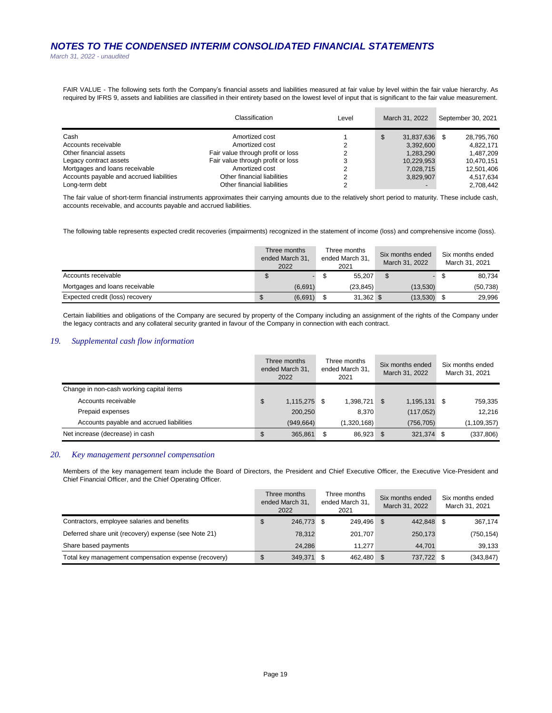*March 31, 2022 - unaudited*

FAIR VALUE - The following sets forth the Company's financial assets and liabilities measured at fair value by level within the fair value hierarchy. As required by IFRS 9, assets and liabilities are classified in their entirety based on the lowest level of input that is significant to the fair value measurement.

|                                          | Classification                    |   | March 31, 2022           | September 30, 2021 |  |  |
|------------------------------------------|-----------------------------------|---|--------------------------|--------------------|--|--|
| Cash                                     | Amortized cost                    |   | 31.837.636               | 28,795,760<br>\$.  |  |  |
| Accounts receivable                      | Amortized cost                    | ∠ | 3,392,600                | 4.822.171          |  |  |
| Other financial assets                   | Fair value through profit or loss | ົ | 1,283,290                | 1.487.209          |  |  |
| Legacy contract assets                   | Fair value through profit or loss | 3 | 10,229,953               | 10.470.151         |  |  |
| Mortgages and loans receivable           | Amortized cost                    |   | 7,028,715                | 12.501.406         |  |  |
| Accounts payable and accrued liabilities | Other financial liabilities       |   | 3.829.907                | 4.517.634          |  |  |
| Long-term debt                           | Other financial liabilities       | ◠ | $\overline{\phantom{0}}$ | 2.708.442          |  |  |

The fair value of short-term financial instruments approximates their carrying amounts due to the relatively short period to maturity. These include cash, accounts receivable, and accounts payable and accrued liabilities.

The following table represents expected credit recoveries (impairments) recognized in the statement of income (loss) and comprehensive income (loss).

|                                 | Three months<br>ended March 31,<br>2022 | Three months<br>ended March 31.<br>2021 | Six months ended<br>March 31, 2022 | Six months ended<br>March 31, 2021 |
|---------------------------------|-----------------------------------------|-----------------------------------------|------------------------------------|------------------------------------|
| Accounts receivable             |                                         | 55.207                                  |                                    | 80,734                             |
| Mortgages and loans receivable  | (6,691)                                 | (23.845)                                | (13.530)                           | (50, 738)                          |
| Expected credit (loss) recovery | (6,691)                                 | 31,362 \$                               | (13,530)                           | 29.996                             |

Certain liabilities and obligations of the Company are secured by property of the Company including an assignment of the rights of the Company under the legacy contracts and any collateral security granted in favour of the Company in connection with each contract.

## *19. Supplemental cash flow information*

|                                          |               | Three months<br>ended March 31,<br>2022 | Three months<br>ended March 31.<br>2021 |              | Six months ended<br>March 31, 2022 |            |   | Six months ended<br>March 31, 2021 |
|------------------------------------------|---------------|-----------------------------------------|-----------------------------------------|--------------|------------------------------------|------------|---|------------------------------------|
| Change in non-cash working capital items |               |                                         |                                         |              |                                    |            |   |                                    |
| Accounts receivable                      | $\sqrt[6]{3}$ | 1,115,275 \$                            |                                         | 1,398,721 \$ |                                    | 1,195,131  | S | 759,335                            |
| Prepaid expenses                         |               | 200,250                                 |                                         | 8.370        |                                    | (117, 052) |   | 12.216                             |
| Accounts payable and accrued liabilities |               | (949, 664)                              |                                         | (1,320,168)  |                                    | (756, 705) |   | (1, 109, 357)                      |
| Net increase (decrease) in cash          | \$            | 365,861                                 | S                                       | 86,923 \$    |                                    | 321,374 \$ |   | (337, 806)                         |

## *20. Key management personnel compensation*

Members of the key management team include the Board of Directors, the President and Chief Executive Officer, the Executive Vice-President and Chief Financial Officer, and the Chief Operating Officer.

|                                                      | Three months<br>ended March 31.<br>2022 | Three months<br>ended March 31.<br>2021 | Six months ended<br>March 31, 2022 | Six months ended<br>March 31, 2021 |
|------------------------------------------------------|-----------------------------------------|-----------------------------------------|------------------------------------|------------------------------------|
| Contractors, employee salaries and benefits          | \$<br>246,773 \$                        | 249.496 \$                              | 442.848                            | 367.174                            |
| Deferred share unit (recovery) expense (see Note 21) | 78.312                                  | 201.707                                 | 250,173                            | (750, 154)                         |
| Share based payments                                 | 24.286                                  | 11.277                                  | 44.701                             | 39,133                             |
| Total key management compensation expense (recovery) | \$<br>349,371 \$                        | 462,480 \$                              | 737,722                            | (343, 847)                         |